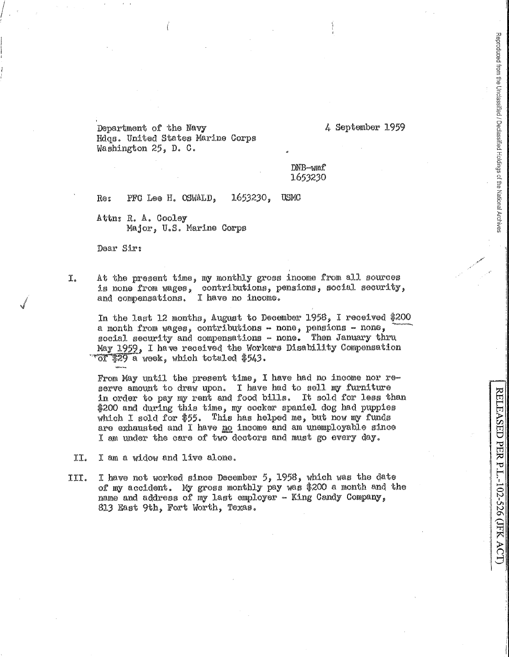Department of the Navy Hdgs. United States Marine Corps Washington 25, D. C.

4 September 1959

Reproduced from the Unclassified / Declassified Holdings of the National Archives

RELEASED PER P.L.-102-526 (JFK ACT

## DNB-wmf 1653230

1653230. Re: PFC Lee H. OSWALD, **USMC** 

Attn: R. A. Cooley Major, U.S. Marine Corps

Dear Sir:

At the present time, my monthly gross income from all sources I. is none from wages, contributions, pensions, social security, and compensations. I have no income.

In the last 12 months, August to December 1958, I received \$200 a month from wages, contributions - none, pensions - none, social security and compensations - none. Then January thru May 1959, I have received the Workers Disability Compensation "of \$29 a week, which totaled \$543.

From May until the present time, I have had no income nor reserve amount to draw upon. I have had to sell my furniture in order to pay my rent and food bills. It sold for less than \$200 and during this time, my cocker spaniel dog had puppies which I sold for \$55. This has helped me, but now my funds are exhausted and I have no income and am unemployable since I am under the care of two doctors and must go every day.

- II. I am a widow and live alone.
- I have not worked since December 5, 1958, which was the date III. of my accident. My gross monthly pay was \$200 a month and the name and address of my last employer - King Candy Company. 813 East 9th, Fort Worth, Texas.